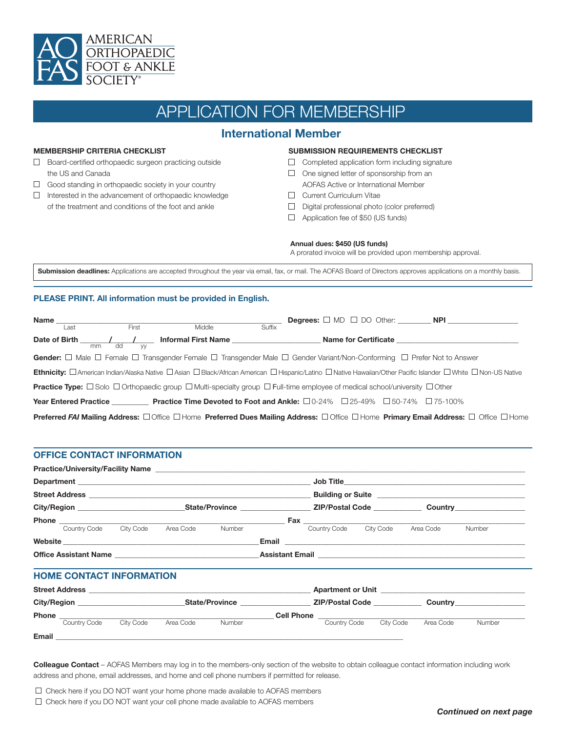

# APPLICATION FOR MEMBERSHIP

## **International Member**

#### **MEMBERSHIP CRITERIA CHECKLIST**

- □ Board-certified orthopaedic surgeon practicing outside the US and Canada
- $\Box$  Good standing in orthopaedic society in your country
- $\Box$  Interested in the advancement of orthopaedic knowledge of the treatment and conditions of the foot and ankle

#### **SUBMISSION REQUIREMENTS CHECKLIST**

- $\Box$  Completed application form including signature
- $\Box$  One signed letter of sponsorship from an
	- AOFAS Active or International Member
- **Current Curriculum Vitae**
- $\Box$  Digital professional photo (color preferred)
- □ Application fee of \$50 (US funds)

#### **Annual dues: \$450 (US funds)**

A prorated invoice will be provided upon membership approval.

Submission deadlines: Applications are accepted throughout the year via email, fax, or mail. The AOFAS Board of Directors approves applications on a monthly basis.

#### **PLEASE PRINT. All information must be provided in English.**

| Name          |                              |       |                                                                                                                                                                |        | <b>Degrees:</b> $\Box$ MD $\Box$ DO Other: <b>NPI</b> |                             |  |  |
|---------------|------------------------------|-------|----------------------------------------------------------------------------------------------------------------------------------------------------------------|--------|-------------------------------------------------------|-----------------------------|--|--|
|               | ∟ast                         | First | Middle                                                                                                                                                         | Suffix |                                                       |                             |  |  |
| Date of Birth | dd<br>mm                     | W     | <b>Informal First Name</b>                                                                                                                                     |        |                                                       | <b>Name for Certificate</b> |  |  |
|               |                              |       | Gender: $\Box$ Male $\Box$ Female $\Box$ Transgender Female $\Box$ Transgender Male $\Box$ Gender Variant/Non-Conforming $\Box$ Prefer Not to Answer           |        |                                                       |                             |  |  |
|               |                              |       | Ethnicity: □ American Indian/Alaska Native □ Asian □ Black/African American □ Hispanic/Latino □ Native Hawaiian/Other Pacific Islander □ White □ Non-US Native |        |                                                       |                             |  |  |
|               |                              |       | <b>Practice Type:</b> $\Box$ Solo $\Box$ Orthopaedic group $\Box$ Multi-specialty group $\Box$ Full-time employee of medical school/university $\Box$ Other    |        |                                                       |                             |  |  |
|               | <b>Year Entered Practice</b> |       | <b>Practice Time Devoted to Foot and Ankle:</b> $\Box$ 0-24% $\Box$ 25-49% $\Box$ 50-74% $\Box$ 75-100%                                                        |        |                                                       |                             |  |  |
|               |                              |       | Preferred FAI Mailing Address: □ Office □ Home Preferred Dues Mailing Address: □ Office □ Home Primary Email Address: □ Office □ Home                          |        |                                                       |                             |  |  |

#### **OFFICE CONTACT INFORMATION**

|                                                                                   |                        |           |        |                   | <b>Building or Suite Example 2014 Contract 2014 Contract 2014 Contract 2014</b> |                                         |           |                                            |  |
|-----------------------------------------------------------------------------------|------------------------|-----------|--------|-------------------|---------------------------------------------------------------------------------|-----------------------------------------|-----------|--------------------------------------------|--|
|                                                                                   |                        |           |        |                   |                                                                                 |                                         |           |                                            |  |
|                                                                                   |                        |           |        |                   | <b>Fax ______________________</b>                                               |                                         |           |                                            |  |
|                                                                                   | Country Code City Code | Area Code | Number |                   | Country Code City Code                                                          |                                         | Area Code | Number                                     |  |
|                                                                                   |                        |           |        |                   |                                                                                 |                                         |           |                                            |  |
| Office Assistant Name <b>Accord Assistant Name</b>                                |                        |           |        |                   |                                                                                 |                                         |           |                                            |  |
| <b>HOME CONTACT INFORMATION</b>                                                   |                        |           |        |                   |                                                                                 |                                         |           |                                            |  |
|                                                                                   |                        |           |        |                   |                                                                                 |                                         |           | <b>Apartment or Unit</b> Apartment or Unit |  |
|                                                                                   |                        |           |        |                   |                                                                                 |                                         |           |                                            |  |
|                                                                                   |                        |           |        | <b>Cell Phone</b> |                                                                                 | <u> 1989 - Johann Barbara, martin a</u> |           |                                            |  |
| Country Code                                                                      | City Code              | Area Code | Number |                   | Country Code                                                                    | City Code                               | Area Code | Number                                     |  |
| Email <b>Executive Construction of the Construction Construction Construction</b> |                        |           |        |                   |                                                                                 |                                         |           |                                            |  |

**Colleague Contact** – AOFAS Members may log in to the members-only section of the website to obtain colleague contact information including work address and phone, email addresses, and home and cell phone numbers if permitted for release.

 $\Box$  Check here if you DO NOT want your home phone made available to AOFAS members

 $\Box$  Check here if you DO NOT want your cell phone made available to AOFAS members